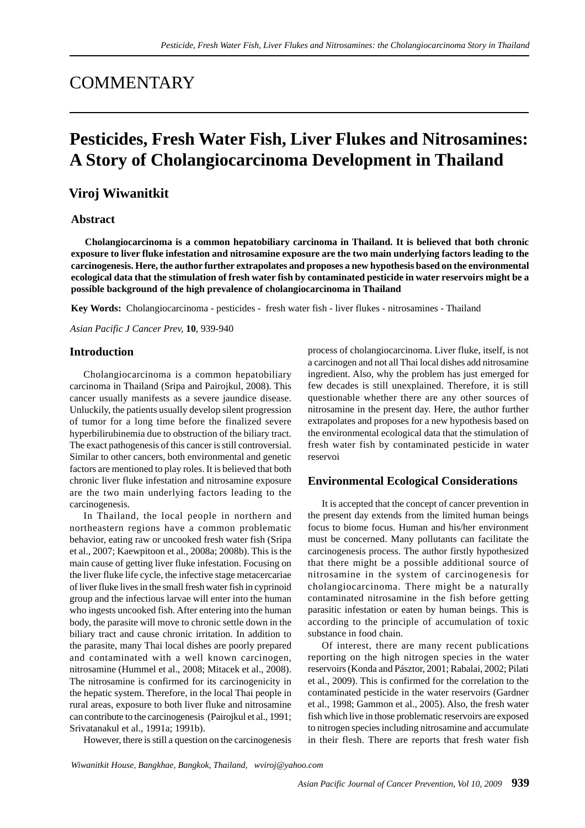## **COMMENTARY**

# **Pesticides, Fresh Water Fish, Liver Flukes and Nitrosamines: A Story of Cholangiocarcinoma Development in Thailand**

### **Viroj Wiwanitkit**

#### **Abstract**

**Cholangiocarcinoma is a common hepatobiliary carcinoma in Thailand. It is believed that both chronic exposure to liver fluke infestation and nitrosamine exposure are the two main underlying factors leading to the carcinogenesis. Here, the author further extrapolates and proposes a new hypothesis based on the environmental ecological data that the stimulation of fresh water fish by contaminated pesticide in water reservoirs might be a possible background of the high prevalence of cholangiocarcinoma in Thailand**

**Key Words:** Cholangiocarcinoma - pesticides - fresh water fish - liver flukes - nitrosamines - Thailand

*Asian Pacific J Cancer Prev,* **10**, 939-940

#### **Introduction**

Cholangiocarcinoma is a common hepatobiliary carcinoma in Thailand (Sripa and Pairojkul, 2008). This cancer usually manifests as a severe jaundice disease. Unluckily, the patients usually develop silent progression of tumor for a long time before the finalized severe hyperbilirubinemia due to obstruction of the biliary tract. The exact pathogenesis of this cancer is still controversial. Similar to other cancers, both environmental and genetic factors are mentioned to play roles. It is believed that both chronic liver fluke infestation and nitrosamine exposure are the two main underlying factors leading to the carcinogenesis.

In Thailand, the local people in northern and northeastern regions have a common problematic behavior, eating raw or uncooked fresh water fish (Sripa et al., 2007; Kaewpitoon et al., 2008a; 2008b). This is the main cause of getting liver fluke infestation. Focusing on the liver fluke life cycle, the infective stage metacercariae of liver fluke lives in the small fresh water fish in cyprinoid group and the infectious larvae will enter into the human who ingests uncooked fish. After entering into the human body, the parasite will move to chronic settle down in the biliary tract and cause chronic irritation. In addition to the parasite, many Thai local dishes are poorly prepared and contaminated with a well known carcinogen, nitrosamine (Hummel et al., 2008; Mitacek et al., 2008). The nitrosamine is confirmed for its carcinogenicity in the hepatic system. Therefore, in the local Thai people in rural areas, exposure to both liver fluke and nitrosamine can contribute to the carcinogenesis (Pairojkul et al., 1991; Srivatanakul et al., 1991a; 1991b).

However, there is still a question on the carcinogenesis

process of cholangiocarcinoma. Liver fluke, itself, is not a carcinogen and not all Thai local dishes add nitrosamine ingredient. Also, why the problem has just emerged for few decades is still unexplained. Therefore, it is still questionable whether there are any other sources of nitrosamine in the present day. Here, the author further extrapolates and proposes for a new hypothesis based on the environmental ecological data that the stimulation of fresh water fish by contaminated pesticide in water reservoi

#### **Environmental Ecological Considerations**

It is accepted that the concept of cancer prevention in the present day extends from the limited human beings focus to biome focus. Human and his/her environment must be concerned. Many pollutants can facilitate the carcinogenesis process. The author firstly hypothesized that there might be a possible additional source of nitrosamine in the system of carcinogenesis for cholangiocarcinoma. There might be a naturally contaminated nitrosamine in the fish before getting parasitic infestation or eaten by human beings. This is according to the principle of accumulation of toxic substance in food chain.

Of interest, there are many recent publications reporting on the high nitrogen species in the water reservoirs (Konda and Pásztor, 2001; Rabalai, 2002; Pilati et al., 2009). This is confirmed for the correlation to the contaminated pesticide in the water reservoirs (Gardner et al., 1998; Gammon et al., 2005). Also, the fresh water fish which live in those problematic reservoirs are exposed to nitrogen species including nitrosamine and accumulate in their flesh. There are reports that fresh water fish